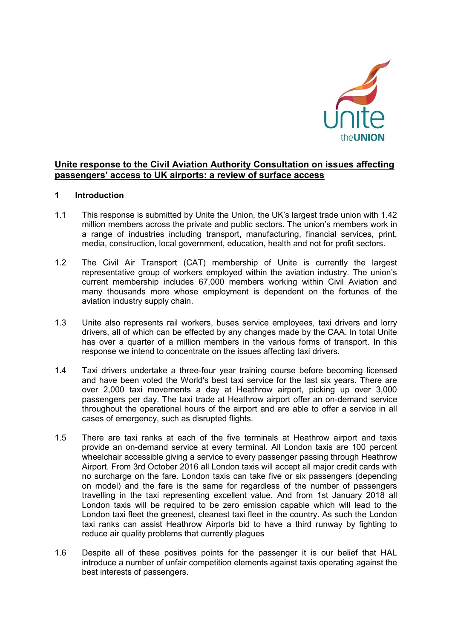

# **Unite response to the Civil Aviation Authority Consultation on issues affecting passengers' access to UK airports: a review of surface access**

### **1 Introduction**

- 1.1 This response is submitted by Unite the Union, the UK's largest trade union with 1.42 million members across the private and public sectors. The union's members work in a range of industries including transport, manufacturing, financial services, print, media, construction, local government, education, health and not for profit sectors.
- 1.2 The Civil Air Transport (CAT) membership of Unite is currently the largest representative group of workers employed within the aviation industry. The union's current membership includes 67,000 members working within Civil Aviation and many thousands more whose employment is dependent on the fortunes of the aviation industry supply chain.
- 1.3 Unite also represents rail workers, buses service employees, taxi drivers and lorry drivers, all of which can be effected by any changes made by the CAA. In total Unite has over a quarter of a million members in the various forms of transport. In this response we intend to concentrate on the issues affecting taxi drivers.
- 1.4 Taxi drivers undertake a three-four year training course before becoming licensed and have been voted the World's best taxi service for the last six years. There are over 2,000 taxi movements a day at Heathrow airport, picking up over 3,000 passengers per day. The taxi trade at Heathrow airport offer an on-demand service throughout the operational hours of the airport and are able to offer a service in all cases of emergency, such as disrupted flights.
- 1.5 There are taxi ranks at each of the five terminals at Heathrow airport and taxis provide an on-demand service at every terminal. All London taxis are 100 percent wheelchair accessible giving a service to every passenger passing through Heathrow Airport. From 3rd October 2016 all London taxis will accept all major credit cards with no surcharge on the fare. London taxis can take five or six passengers (depending on model) and the fare is the same for regardless of the number of passengers travelling in the taxi representing excellent value. And from 1st January 2018 all London taxis will be required to be zero emission capable which will lead to the London taxi fleet the greenest, cleanest taxi fleet in the country. As such the London taxi ranks can assist Heathrow Airports bid to have a third runway by fighting to reduce air quality problems that currently plagues
- 1.6 Despite all of these positives points for the passenger it is our belief that HAL introduce a number of unfair competition elements against taxis operating against the best interests of passengers.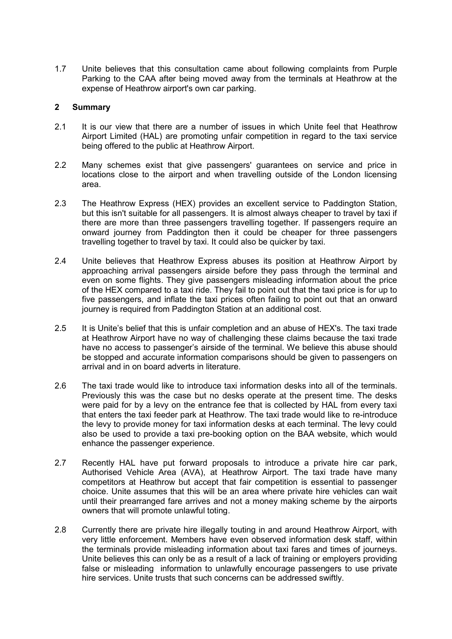1.7 Unite believes that this consultation came about following complaints from Purple Parking to the CAA after being moved away from the terminals at Heathrow at the expense of Heathrow airport's own car parking.

### **2 Summary**

- 2.1 It is our view that there are a number of issues in which Unite feel that Heathrow Airport Limited (HAL) are promoting unfair competition in regard to the taxi service being offered to the public at Heathrow Airport.
- 2.2 Many schemes exist that give passengers' guarantees on service and price in locations close to the airport and when travelling outside of the London licensing area.
- 2.3 The Heathrow Express (HEX) provides an excellent service to Paddington Station, but this isn't suitable for all passengers. It is almost always cheaper to travel by taxi if there are more than three passengers travelling together. If passengers require an onward journey from Paddington then it could be cheaper for three passengers travelling together to travel by taxi. It could also be quicker by taxi.
- 2.4 Unite believes that Heathrow Express abuses its position at Heathrow Airport by approaching arrival passengers airside before they pass through the terminal and even on some flights. They give passengers misleading information about the price of the HEX compared to a taxi ride. They fail to point out that the taxi price is for up to five passengers, and inflate the taxi prices often failing to point out that an onward journey is required from Paddington Station at an additional cost.
- 2.5 It is Unite's belief that this is unfair completion and an abuse of HEX's. The taxi trade at Heathrow Airport have no way of challenging these claims because the taxi trade have no access to passenger's airside of the terminal. We believe this abuse should be stopped and accurate information comparisons should be given to passengers on arrival and in on board adverts in literature.
- 2.6 The taxi trade would like to introduce taxi information desks into all of the terminals. Previously this was the case but no desks operate at the present time. The desks were paid for by a levy on the entrance fee that is collected by HAL from every taxi that enters the taxi feeder park at Heathrow. The taxi trade would like to re-introduce the levy to provide money for taxi information desks at each terminal. The levy could also be used to provide a taxi pre-booking option on the BAA website, which would enhance the passenger experience.
- 2.7 Recently HAL have put forward proposals to introduce a private hire car park, Authorised Vehicle Area (AVA), at Heathrow Airport. The taxi trade have many competitors at Heathrow but accept that fair competition is essential to passenger choice. Unite assumes that this will be an area where private hire vehicles can wait until their prearranged fare arrives and not a money making scheme by the airports owners that will promote unlawful toting.
- 2.8 Currently there are private hire illegally touting in and around Heathrow Airport, with very little enforcement. Members have even observed information desk staff, within the terminals provide misleading information about taxi fares and times of journeys. Unite believes this can only be as a result of a lack of training or employers providing false or misleading information to unlawfully encourage passengers to use private hire services. Unite trusts that such concerns can be addressed swiftly.